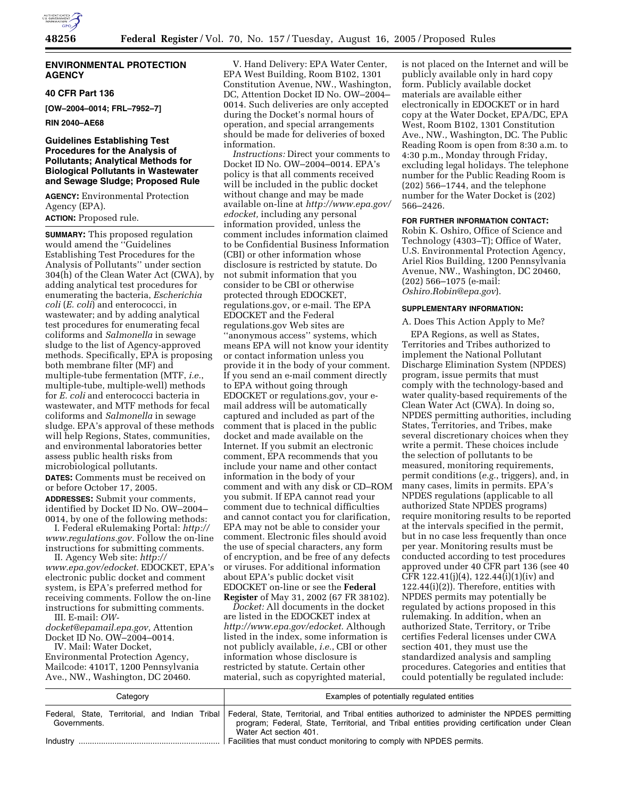

## **ENVIRONMENTAL PROTECTION AGENCY**

#### **40 CFR Part 136**

**[OW–2004–0014; FRL–7952–7]** 

**RIN 2040–AE68** 

## **Guidelines Establishing Test Procedures for the Analysis of Pollutants; Analytical Methods for Biological Pollutants in Wastewater and Sewage Sludge; Proposed Rule**

**AGENCY:** Environmental Protection Agency (EPA).

## **ACTION:** Proposed rule.

**SUMMARY:** This proposed regulation would amend the ''Guidelines Establishing Test Procedures for the Analysis of Pollutants'' under section 304(h) of the Clean Water Act (CWA), by adding analytical test procedures for enumerating the bacteria, *Escherichia coli* (*E. coli*) and enterococci, in wastewater; and by adding analytical test procedures for enumerating fecal coliforms and *Salmonella* in sewage sludge to the list of Agency-approved methods. Specifically, EPA is proposing both membrane filter (MF) and multiple-tube fermentation (MTF, *i.e.*, multiple-tube, multiple-well) methods for *E. coli* and enterococci bacteria in wastewater, and MTF methods for fecal coliforms and *Salmonella* in sewage sludge. EPA's approval of these methods will help Regions, States, communities, and environmental laboratories better assess public health risks from microbiological pollutants.

**DATES:** Comments must be received on or before October 17, 2005.

**ADDRESSES:** Submit your comments, identified by Docket ID No. OW–2004– 0014, by one of the following methods:

I. Federal eRulemaking Portal: *http:// www.regulations.gov.* Follow the on-line instructions for submitting comments.

II. Agency Web site: *http:// www.epa.gov/edocket.* EDOCKET, EPA's electronic public docket and comment system, is EPA's preferred method for receiving comments. Follow the on-line instructions for submitting comments. III. E-mail: *OW-*

*docket@epamail.epa.gov,* Attention Docket ID No. OW–2004–0014.

IV. Mail: Water Docket, Environmental Protection Agency, Mailcode: 4101T, 1200 Pennsylvania Ave., NW., Washington, DC 20460.

V. Hand Delivery: EPA Water Center, EPA West Building, Room B102, 1301 Constitution Avenue, NW., Washington, DC, Attention Docket ID No. OW–2004– 0014. Such deliveries are only accepted during the Docket's normal hours of operation, and special arrangements should be made for deliveries of boxed information.

*Instructions:* Direct your comments to Docket ID No. OW–2004–0014. EPA's policy is that all comments received will be included in the public docket without change and may be made available on-line at *http://www.epa.gov/ edocket,* including any personal information provided, unless the comment includes information claimed to be Confidential Business Information (CBI) or other information whose disclosure is restricted by statute. Do not submit information that you consider to be CBI or otherwise protected through EDOCKET, regulations.gov, or e-mail. The EPA EDOCKET and the Federal regulations.gov Web sites are ''anonymous access'' systems, which means EPA will not know your identity or contact information unless you provide it in the body of your comment. If you send an e-mail comment directly to EPA without going through EDOCKET or regulations.gov, your email address will be automatically captured and included as part of the comment that is placed in the public docket and made available on the Internet. If you submit an electronic comment, EPA recommends that you include your name and other contact information in the body of your comment and with any disk or CD–ROM you submit. If EPA cannot read your comment due to technical difficulties and cannot contact you for clarification, EPA may not be able to consider your comment. Electronic files should avoid the use of special characters, any form of encryption, and be free of any defects or viruses. For additional information about EPA's public docket visit EDOCKET on-line or see the **Federal Register** of May 31, 2002 (67 FR 38102).

*Docket:* All documents in the docket are listed in the EDOCKET index at *http://www.epa.gov/edocket.* Although listed in the index, some information is not publicly available, *i.e.*, CBI or other information whose disclosure is restricted by statute. Certain other material, such as copyrighted material,

is not placed on the Internet and will be publicly available only in hard copy form. Publicly available docket materials are available either electronically in EDOCKET or in hard copy at the Water Docket, EPA/DC, EPA West, Room B102, 1301 Constitution Ave., NW., Washington, DC. The Public Reading Room is open from 8:30 a.m. to 4:30 p.m., Monday through Friday, excluding legal holidays. The telephone number for the Public Reading Room is (202) 566–1744, and the telephone number for the Water Docket is (202) 566–2426.

#### **FOR FURTHER INFORMATION CONTACT:**

Robin K. Oshiro, Office of Science and Technology (4303–T); Office of Water, U.S. Environmental Protection Agency, Ariel Rios Building, 1200 Pennsylvania Avenue, NW., Washington, DC 20460, (202) 566–1075 (e-mail: *Oshiro.Robin@epa.gov*).

#### **SUPPLEMENTARY INFORMATION:**

#### A. Does This Action Apply to Me?

EPA Regions, as well as States, Territories and Tribes authorized to implement the National Pollutant Discharge Elimination System (NPDES) program, issue permits that must comply with the technology-based and water quality-based requirements of the Clean Water Act (CWA). In doing so, NPDES permitting authorities, including States, Territories, and Tribes, make several discretionary choices when they write a permit. These choices include the selection of pollutants to be measured, monitoring requirements, permit conditions (*e.g.*, triggers), and, in many cases, limits in permits. EPA's NPDES regulations (applicable to all authorized State NPDES programs) require monitoring results to be reported at the intervals specified in the permit, but in no case less frequently than once per year. Monitoring results must be conducted according to test procedures approved under 40 CFR part 136 (see 40 CFR 122.41(j)(4), 122.44(i)(1)(iv) and 122.44(i)(2)). Therefore, entities with NPDES permits may potentially be regulated by actions proposed in this rulemaking. In addition, when an authorized State, Territory, or Tribe certifies Federal licenses under CWA section 401, they must use the standardized analysis and sampling procedures. Categories and entities that could potentially be regulated include:

| Category     | Examples of potentially regulated entities                                                                                                                                                                                                                               |  |  |  |
|--------------|--------------------------------------------------------------------------------------------------------------------------------------------------------------------------------------------------------------------------------------------------------------------------|--|--|--|
| Governments. | Federal, State, Territorial, and Indian Tribal Federal, State, Territorial, and Tribal entities authorized to administer the NPDES permitting<br>program; Federal, State, Territorial, and Tribal entities providing certification under Clean<br>Water Act section 401. |  |  |  |
| Industry     | Facilities that must conduct monitoring to comply with NPDES permits.                                                                                                                                                                                                    |  |  |  |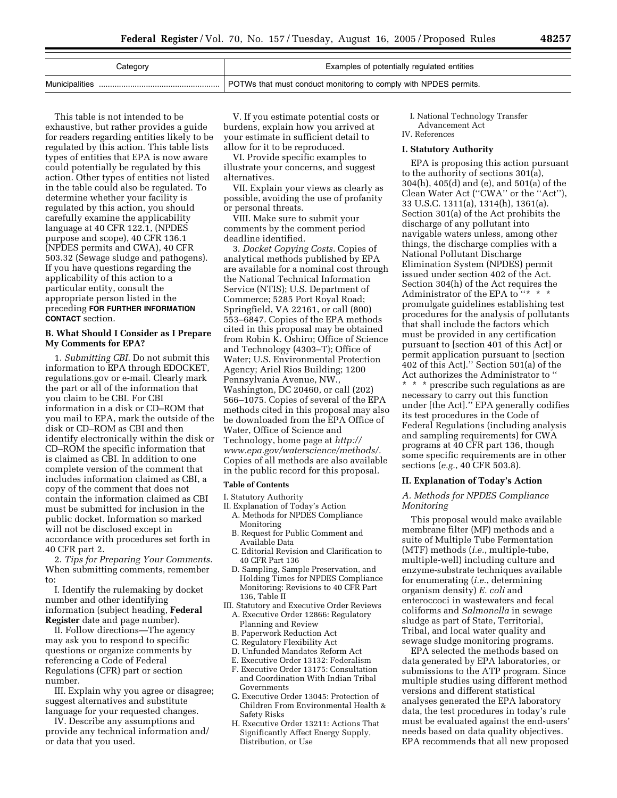| Category       | Examples of potentially regulated entities                       |
|----------------|------------------------------------------------------------------|
| Municipalities | POTWs that must conduct monitoring to comply with NPDES permits. |

This table is not intended to be exhaustive, but rather provides a guide for readers regarding entities likely to be regulated by this action. This table lists types of entities that EPA is now aware could potentially be regulated by this action. Other types of entities not listed in the table could also be regulated. To determine whether your facility is regulated by this action, you should carefully examine the applicability language at 40 CFR 122.1, (NPDES purpose and scope), 40 CFR 136.1 (NPDES permits and CWA), 40 CFR 503.32 (Sewage sludge and pathogens). If you have questions regarding the applicability of this action to a particular entity, consult the appropriate person listed in the preceding **FOR FURTHER INFORMATION CONTACT** section.

#### **B. What Should I Consider as I Prepare My Comments for EPA?**

1. *Submitting CBI.* Do not submit this information to EPA through EDOCKET, regulations.gov or e-mail. Clearly mark the part or all of the information that you claim to be CBI. For CBI information in a disk or CD–ROM that you mail to EPA, mark the outside of the disk or CD–ROM as CBI and then identify electronically within the disk or CD–ROM the specific information that is claimed as CBI. In addition to one complete version of the comment that includes information claimed as CBI, a copy of the comment that does not contain the information claimed as CBI must be submitted for inclusion in the public docket. Information so marked will not be disclosed except in accordance with procedures set forth in 40 CFR part 2.

2. *Tips for Preparing Your Comments.* When submitting comments, remember to:

I. Identify the rulemaking by docket number and other identifying information (subject heading, **Federal Register** date and page number).

II. Follow directions—The agency may ask you to respond to specific questions or organize comments by referencing a Code of Federal Regulations (CFR) part or section number.

III. Explain why you agree or disagree; suggest alternatives and substitute language for your requested changes.

IV. Describe any assumptions and provide any technical information and/ or data that you used.

V. If you estimate potential costs or burdens, explain how you arrived at your estimate in sufficient detail to allow for it to be reproduced.

VI. Provide specific examples to illustrate your concerns, and suggest alternatives.

VII. Explain your views as clearly as possible, avoiding the use of profanity or personal threats.

VIII. Make sure to submit your comments by the comment period deadline identified.

3. *Docket Copying Costs.* Copies of analytical methods published by EPA are available for a nominal cost through the National Technical Information Service (NTIS); U.S. Department of Commerce; 5285 Port Royal Road; Springfield, VA 22161, or call (800) 553–6847. Copies of the EPA methods cited in this proposal may be obtained from Robin K. Oshiro; Office of Science and Technology (4303–T); Office of Water; U.S. Environmental Protection Agency; Ariel Rios Building; 1200 Pennsylvania Avenue, NW., Washington, DC 20460, or call (202) 566–1075. Copies of several of the EPA methods cited in this proposal may also be downloaded from the EPA Office of Water, Office of Science and Technology, home page at *http:// www.epa.gov/waterscience/methods/.* Copies of all methods are also available in the public record for this proposal.

#### **Table of Contents**

I. Statutory Authority

- II. Explanation of Today's Action A. Methods for NPDES Compliance Monitoring
	- B. Request for Public Comment and Available Data
	- C. Editorial Revision and Clarification to 40 CFR Part 136
	- D. Sampling, Sample Preservation, and Holding Times for NPDES Compliance Monitoring: Revisions to 40 CFR Part 136, Table II
- III. Statutory and Executive Order Reviews A. Executive Order 12866: Regulatory
	- Planning and Review B. Paperwork Reduction Act
	- C. Regulatory Flexibility Act
	- D. Unfunded Mandates Reform Act
	- E. Executive Order 13132: Federalism
	- F. Executive Order 13175: Consultation and Coordination With Indian Tribal Governments
	- G. Executive Order 13045: Protection of Children From Environmental Health & Safety Risks
	- H. Executive Order 13211: Actions That Significantly Affect Energy Supply, Distribution, or Use

I. National Technology Transfer Advancement Act IV. References

## **I. Statutory Authority**

EPA is proposing this action pursuant to the authority of sections 301(a), 304(h), 405(d) and (e), and 501(a) of the Clean Water Act (''CWA'' or the ''Act''), 33 U.S.C. 1311(a), 1314(h), 1361(a). Section 301(a) of the Act prohibits the discharge of any pollutant into navigable waters unless, among other things, the discharge complies with a National Pollutant Discharge Elimination System (NPDES) permit issued under section 402 of the Act. Section 304(h) of the Act requires the Administrator of the EPA to  $\cdots$  \* \* promulgate guidelines establishing test procedures for the analysis of pollutants that shall include the factors which must be provided in any certification pursuant to [section 401 of this Act] or permit application pursuant to [section 402 of this Act].'' Section 501(a) of the Act authorizes the Administrator to ''

\* \* \* prescribe such regulations as are necessary to carry out this function under [the Act].'' EPA generally codifies its test procedures in the Code of Federal Regulations (including analysis and sampling requirements) for CWA programs at 40 CFR part 136, though some specific requirements are in other sections (*e.g.*, 40 CFR 503.8).

#### **II. Explanation of Today's Action**

### *A. Methods for NPDES Compliance Monitoring*

This proposal would make available membrane filter (MF) methods and a suite of Multiple Tube Fermentation (MTF) methods (*i.e.*, multiple-tube, multiple-well) including culture and enzyme-substrate techniques available for enumerating (*i.e.*, determining organism density) *E. coli* and enteroccoci in wastewaters and fecal coliforms and *Salmonella* in sewage sludge as part of State, Territorial, Tribal, and local water quality and sewage sludge monitoring programs.

EPA selected the methods based on data generated by EPA laboratories, or submissions to the ATP program. Since multiple studies using different method versions and different statistical analyses generated the EPA laboratory data, the test procedures in today's rule must be evaluated against the end-users' needs based on data quality objectives. EPA recommends that all new proposed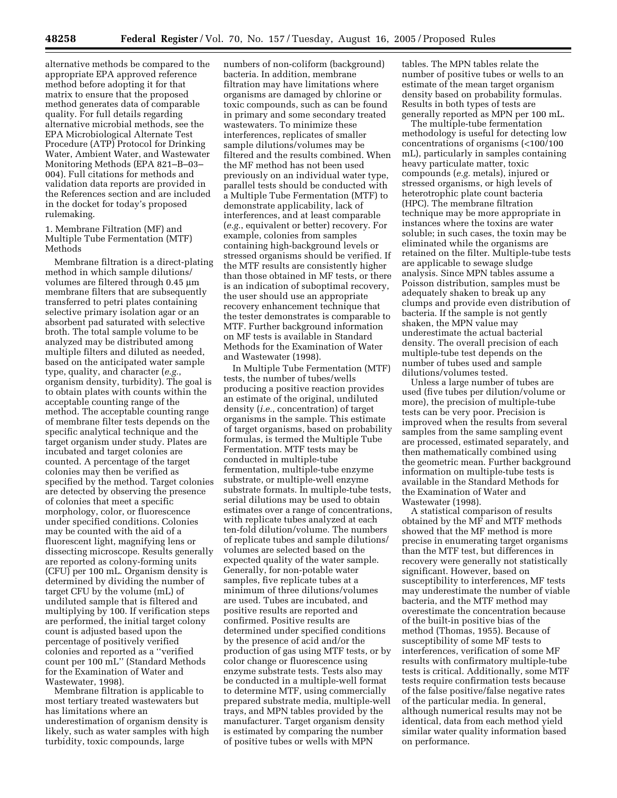alternative methods be compared to the appropriate EPA approved reference method before adopting it for that matrix to ensure that the proposed method generates data of comparable quality. For full details regarding alternative microbial methods, see the EPA Microbiological Alternate Test Procedure (ATP) Protocol for Drinking Water, Ambient Water, and Wastewater Monitoring Methods (EPA 821–B–03– 004). Full citations for methods and validation data reports are provided in the References section and are included in the docket for today's proposed rulemaking.

1. Membrane Filtration (MF) and Multiple Tube Fermentation (MTF) Methods

Membrane filtration is a direct-plating method in which sample dilutions/ volumes are filtered through 0.45 µm membrane filters that are subsequently transferred to petri plates containing selective primary isolation agar or an absorbent pad saturated with selective broth. The total sample volume to be analyzed may be distributed among multiple filters and diluted as needed, based on the anticipated water sample type, quality, and character (*e.g.*, organism density, turbidity). The goal is to obtain plates with counts within the acceptable counting range of the method. The acceptable counting range of membrane filter tests depends on the specific analytical technique and the target organism under study. Plates are incubated and target colonies are counted. A percentage of the target colonies may then be verified as specified by the method. Target colonies are detected by observing the presence of colonies that meet a specific morphology, color, or fluorescence under specified conditions. Colonies may be counted with the aid of a fluorescent light, magnifying lens or dissecting microscope. Results generally are reported as colony-forming units (CFU) per 100 mL. Organism density is determined by dividing the number of target CFU by the volume (mL) of undiluted sample that is filtered and multiplying by 100. If verification steps are performed, the initial target colony count is adjusted based upon the percentage of positively verified colonies and reported as a ''verified count per 100 mL'' (Standard Methods for the Examination of Water and Wastewater, 1998).

Membrane filtration is applicable to most tertiary treated wastewaters but has limitations where an underestimation of organism density is likely, such as water samples with high turbidity, toxic compounds, large

numbers of non-coliform (background) bacteria. In addition, membrane filtration may have limitations where organisms are damaged by chlorine or toxic compounds, such as can be found in primary and some secondary treated wastewaters. To minimize these interferences, replicates of smaller sample dilutions/volumes may be filtered and the results combined. When the MF method has not been used previously on an individual water type, parallel tests should be conducted with a Multiple Tube Fermentation (MTF) to demonstrate applicability, lack of interferences, and at least comparable (*e.g.*, equivalent or better) recovery. For example, colonies from samples containing high-background levels or stressed organisms should be verified. If the MTF results are consistently higher than those obtained in MF tests, or there is an indication of suboptimal recovery, the user should use an appropriate recovery enhancement technique that the tester demonstrates is comparable to MTF. Further background information on MF tests is available in Standard Methods for the Examination of Water and Wastewater (1998).

In Multiple Tube Fermentation (MTF) tests, the number of tubes/wells producing a positive reaction provides an estimate of the original, undiluted density (*i.e.*, concentration) of target organisms in the sample. This estimate of target organisms, based on probability formulas, is termed the Multiple Tube Fermentation. MTF tests may be conducted in multiple-tube fermentation, multiple-tube enzyme substrate, or multiple-well enzyme substrate formats. In multiple-tube tests, serial dilutions may be used to obtain estimates over a range of concentrations, with replicate tubes analyzed at each ten-fold dilution/volume. The numbers of replicate tubes and sample dilutions/ volumes are selected based on the expected quality of the water sample. Generally, for non-potable water samples, five replicate tubes at a minimum of three dilutions/volumes are used. Tubes are incubated, and positive results are reported and confirmed. Positive results are determined under specified conditions by the presence of acid and/or the production of gas using MTF tests, or by color change or fluorescence using enzyme substrate tests. Tests also may be conducted in a multiple-well format to determine MTF, using commercially prepared substrate media, multiple-well trays, and MPN tables provided by the manufacturer. Target organism density is estimated by comparing the number of positive tubes or wells with MPN

tables. The MPN tables relate the number of positive tubes or wells to an estimate of the mean target organism density based on probability formulas. Results in both types of tests are generally reported as MPN per 100 mL.

The multiple-tube fermentation methodology is useful for detecting low concentrations of organisms (<100/100 mL), particularly in samples containing heavy particulate matter, toxic compounds (*e.g.* metals), injured or stressed organisms, or high levels of heterotrophic plate count bacteria (HPC). The membrane filtration technique may be more appropriate in instances where the toxins are water soluble; in such cases, the toxin may be eliminated while the organisms are retained on the filter. Multiple-tube tests are applicable to sewage sludge analysis. Since MPN tables assume a Poisson distribution, samples must be adequately shaken to break up any clumps and provide even distribution of bacteria. If the sample is not gently shaken, the MPN value may underestimate the actual bacterial density. The overall precision of each multiple-tube test depends on the number of tubes used and sample dilutions/volumes tested.

Unless a large number of tubes are used (five tubes per dilution/volume or more), the precision of multiple-tube tests can be very poor. Precision is improved when the results from several samples from the same sampling event are processed, estimated separately, and then mathematically combined using the geometric mean. Further background information on multiple-tube tests is available in the Standard Methods for the Examination of Water and Wastewater (1998).

A statistical comparison of results obtained by the MF and MTF methods showed that the MF method is more precise in enumerating target organisms than the MTF test, but differences in recovery were generally not statistically significant. However, based on susceptibility to interferences, MF tests may underestimate the number of viable bacteria, and the MTF method may overestimate the concentration because of the built-in positive bias of the method (Thomas, 1955). Because of susceptibility of some MF tests to interferences, verification of some MF results with confirmatory multiple-tube tests is critical. Additionally, some MTF tests require confirmation tests because of the false positive/false negative rates of the particular media. In general, although numerical results may not be identical, data from each method yield similar water quality information based on performance.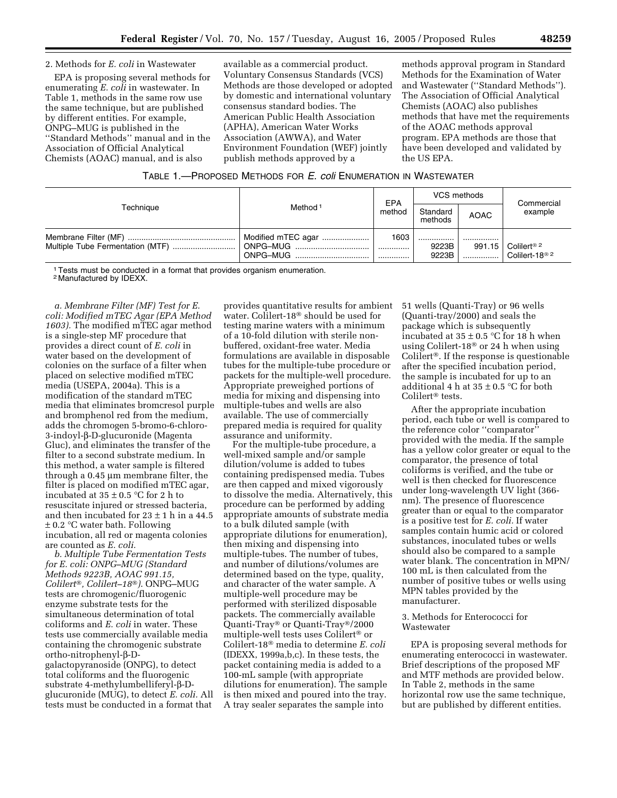## 2. Methods for *E. coli* in Wastewater

EPA is proposing several methods for enumerating *E. coli* in wastewater. In Table 1, methods in the same row use the same technique, but are published by different entities. For example, ONPG–MUG is published in the ''Standard Methods'' manual and in the Association of Official Analytical Chemists (AOAC) manual, and is also

available as a commercial product. Voluntary Consensus Standards (VCS) Methods are those developed or adopted by domestic and international voluntary consensus standard bodies. The American Public Health Association (APHA), American Water Works Association (AWWA), and Water Environment Foundation (WEF) jointly publish methods approved by a

methods approval program in Standard Methods for the Examination of Water and Wastewater (''Standard Methods''). The Association of Official Analytical Chemists (AOAC) also publishes methods that have met the requirements of the AOAC methods approval program. EPA methods are those that have been developed and validated by the US EPA.

|  |  | TABLE 1.-PROPOSED METHODS FOR E. coli ENUMERATION IN WASTEWATER |  |
|--|--|-----------------------------------------------------------------|--|
|--|--|-----------------------------------------------------------------|--|

|           |                                            | EPA           | VCS methods         |             | Commercial                                            |
|-----------|--------------------------------------------|---------------|---------------------|-------------|-------------------------------------------------------|
| Techniaue | Method <sup>1</sup>                        | method        | Standard<br>methods | <b>AOAC</b> | example                                               |
|           | Modified mTEC agar<br>ONPG-MUG<br>ONPG-MUG | 1603<br>.<br> | <br>9223B<br>9223B  | <br>991.15  | Colilert <sup>® 2</sup><br>Colilert-18 <sup>® 2</sup> |

<sup>1</sup> Tests must be conducted in a format that provides organism enumeration.

2 Manufactured by IDEXX.

*a. Membrane Filter (MF) Test for E. coli: Modified mTEC Agar (EPA Method 1603).* The modified mTEC agar method is a single-step MF procedure that provides a direct count of *E. coli* in water based on the development of colonies on the surface of a filter when placed on selective modified mTEC media (USEPA, 2004a). This is a modification of the standard mTEC media that eliminates bromcresol purple and bromphenol red from the medium, adds the chromogen 5-bromo-6-chloro-3-indoyl-b-D-glucuronide (Magenta Gluc), and eliminates the transfer of the filter to a second substrate medium. In this method, a water sample is filtered through a 0.45 µm membrane filter, the filter is placed on modified mTEC agar, incubated at  $35 \pm 0.5$  °C for 2 h to resuscitate injured or stressed bacteria, and then incubated for  $23 \pm 1$  h in a 44.5  $\pm$  0.2 °C water bath. Following incubation, all red or magenta colonies are counted as *E. coli.*

*b. Multiple Tube Fermentation Tests for E. coli: ONPG–MUG (Standard Methods 9223B, AOAC 991.15, Colilert, Colilert–18)*. ONPG–MUG tests are chromogenic/fluorogenic enzyme substrate tests for the simultaneous determination of total coliforms and *E. coli* in water. These tests use commercially available media containing the chromogenic substrate ortho-nitrophenyl-b-Dgalactopyranoside (ONPG), to detect total coliforms and the fluorogenic substrate 4-methylumbelliferyl-b-Dglucuronide (MUG), to detect *E. coli.* All tests must be conducted in a format that

provides quantitative results for ambient water. Colilert-18<sup>®</sup> should be used for testing marine waters with a minimum of a 10-fold dilution with sterile nonbuffered, oxidant-free water. Media formulations are available in disposable tubes for the multiple-tube procedure or packets for the multiple-well procedure. Appropriate preweighed portions of media for mixing and dispensing into multiple-tubes and wells are also available. The use of commercially prepared media is required for quality assurance and uniformity.

For the multiple-tube procedure, a well-mixed sample and/or sample dilution/volume is added to tubes containing predispensed media. Tubes are then capped and mixed vigorously to dissolve the media. Alternatively, this procedure can be performed by adding appropriate amounts of substrate media to a bulk diluted sample (with appropriate dilutions for enumeration), then mixing and dispensing into multiple-tubes. The number of tubes, and number of dilutions/volumes are determined based on the type, quality, and character of the water sample. A multiple-well procedure may be performed with sterilized disposable packets. The commercially available Quanti-Tray<sup>®</sup> or Quanti-Tray<sup>®</sup>/2000 multiple-well tests uses Colilert<sup>®</sup> or Colilert-18 media to determine *E. coli* (IDEXX, 1999a,b,c). In these tests, the packet containing media is added to a 100-mL sample (with appropriate dilutions for enumeration). The sample is then mixed and poured into the tray. A tray sealer separates the sample into

51 wells (Quanti-Tray) or 96 wells (Quanti-tray/2000) and seals the package which is subsequently incubated at  $35 \pm 0.5$  °C for 18 h when using Colilert-18 $\degree$  or 24 h when using Colilert<sup>®</sup>. If the response is questionable after the specified incubation period, the sample is incubated for up to an additional 4 h at  $35 \pm 0.5$  °C for both Colilert<sup>®</sup> tests.

After the appropriate incubation period, each tube or well is compared to the reference color ''comparator'' provided with the media. If the sample has a yellow color greater or equal to the comparator, the presence of total coliforms is verified, and the tube or well is then checked for fluorescence under long-wavelength UV light (366 nm). The presence of fluorescence greater than or equal to the comparator is a positive test for *E. coli.* If water samples contain humic acid or colored substances, inoculated tubes or wells should also be compared to a sample water blank. The concentration in MPN/ 100 mL is then calculated from the number of positive tubes or wells using MPN tables provided by the manufacturer.

## 3. Methods for Enterococci for Wastewater

EPA is proposing several methods for enumerating enterococci in wastewater. Brief descriptions of the proposed MF and MTF methods are provided below. In Table 2, methods in the same horizontal row use the same technique, but are published by different entities.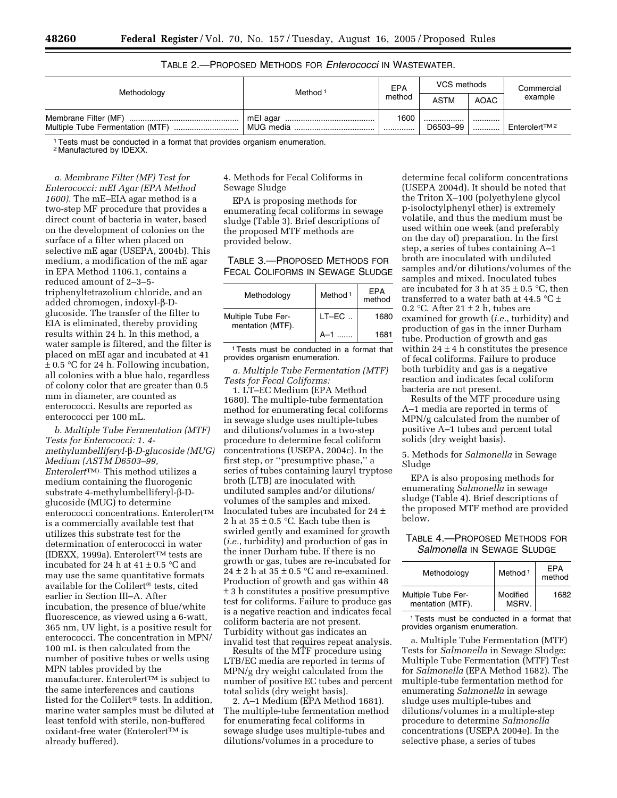| Table 2.—Proposed Methods for <i>Enterococci</i> in Wastewater. |  |
|-----------------------------------------------------------------|--|
|-----------------------------------------------------------------|--|

| Methodology                      | Method <sup>1</sup> | EPA      | VCS methods  |             | Commercial               |
|----------------------------------|---------------------|----------|--------------|-------------|--------------------------|
|                                  |                     | method   | <b>ASTM</b>  | <b>AOAC</b> | example                  |
| Multiple Tube Fermentation (MTF) | MUG media           | 1600<br> | <br>D6503-99 | <br>        | Enterolert <sup>™2</sup> |

1Tests must be conducted in a format that provides organism enumeration.

2 Manufactured by IDEXX.

*a. Membrane Filter (MF) Test for Enterococci: mEI Agar (EPA Method 1600).* The mE–EIA agar method is a two-step MF procedure that provides a direct count of bacteria in water, based on the development of colonies on the surface of a filter when placed on selective mE agar (USEPA, 2004b). This medium, a modification of the mE agar in EPA Method 1106.1, contains a reduced amount of 2–3–5 triphenyltetrazolium chloride, and an added chromogen, indoxyl-b-Dglucoside. The transfer of the filter to EIA is eliminated, thereby providing results within 24 h. In this method, a water sample is filtered, and the filter is placed on mEI agar and incubated at 41  $± 0.5 °C$  for 24 h. Following incubation, all colonies with a blue halo, regardless of colony color that are greater than 0.5 mm in diameter, are counted as enterococci. Results are reported as enterococci per 100 mL.

*b. Multiple Tube Fermentation (MTF) Tests for Enterococci: 1. 4 methylumbelliferyl-*β*-D-glucoside (MUG) Medium (ASTM D6503–99, Enterolert*TM). This method utilizes a medium containing the fluorogenic substrate 4-methylumbelliferyl-b-Dglucoside (MUG) to determine enterococci concentrations. EnterolertTM is a commercially available test that utilizes this substrate test for the determination of enterococci in water (IDEXX, 1999a). Enterolert<sup>TM</sup> tests are incubated for 24 h at  $41 \pm 0.5$  °C and may use the same quantitative formats available for the Colilert<sup>®</sup> tests, cited earlier in Section III–A. After incubation, the presence of blue/white fluorescence, as viewed using a 6-watt, 365 nm, UV light, is a positive result for enterococci. The concentration in MPN/ 100 mL is then calculated from the number of positive tubes or wells using MPN tables provided by the manufacturer. Enterolert™ is subject to the same interferences and cautions listed for the Colilert<sup>®</sup> tests. In addition, marine water samples must be diluted at least tenfold with sterile, non-buffered oxidant-free water (Enterolert™ is already buffered).

4. Methods for Fecal Coliforms in Sewage Sludge

EPA is proposing methods for enumerating fecal coliforms in sewage sludge (Table 3). Brief descriptions of the proposed MTF methods are provided below.

TABLE 3.—PROPOSED METHODS FOR FECAL COLIFORMS IN SEWAGE SLUDGE

| Methodology                                   | Method <sup>1</sup> | EPA<br>method |
|-----------------------------------------------|---------------------|---------------|
| <b>Multiple Tube Fer-</b><br>mentation (MTF). | $LT-EC$             | 1680          |
|                                               | Δ—1                 | 1681          |

1Tests must be conducted in a format that provides organism enumeration.

*a. Multiple Tube Fermentation (MTF) Tests for Fecal Coliforms:*

1. LT–EC Medium (EPA Method 1680). The multiple-tube fermentation method for enumerating fecal coliforms in sewage sludge uses multiple-tubes and dilutions/volumes in a two-step procedure to determine fecal coliform concentrations (USEPA, 2004c). In the first step, or ''presumptive phase,'' a series of tubes containing lauryl tryptose broth (LTB) are inoculated with undiluted samples and/or dilutions/ volumes of the samples and mixed. Inoculated tubes are incubated for 24 ± 2 h at  $35 \pm 0.5$  °C. Each tube then is swirled gently and examined for growth (*i.e.*, turbidity) and production of gas in the inner Durham tube. If there is no growth or gas, tubes are re-incubated for 24  $\pm$  2 h at 35  $\pm$  0.5 °C and re-examined. Production of growth and gas within 48 ± 3 h constitutes a positive presumptive test for coliforms. Failure to produce gas is a negative reaction and indicates fecal coliform bacteria are not present. Turbidity without gas indicates an invalid test that requires repeat analysis.

Results of the MTF procedure using LTB/EC media are reported in terms of MPN/g dry weight calculated from the number of positive EC tubes and percent total solids (dry weight basis).

2. A–1 Medium (EPA Method 1681). The multiple-tube fermentation method for enumerating fecal coliforms in sewage sludge uses multiple-tubes and dilutions/volumes in a procedure to

determine fecal coliform concentrations (USEPA 2004d). It should be noted that the Triton X–100 (polyethylene glycol p-isoloctylphenyl ether) is extremely volatile, and thus the medium must be used within one week (and preferably on the day of) preparation. In the first step, a series of tubes containing A–1 broth are inoculated with undiluted samples and/or dilutions/volumes of the samples and mixed. Inoculated tubes are incubated for 3 h at  $35 \pm 0.5$  °C, then transferred to a water bath at 44.5  $\mathrm{^{\circ}C}$  ± 0.2 °C. After  $21 \pm 2$  h, tubes are examined for growth (*i.e.*, turbidity) and production of gas in the inner Durham tube. Production of growth and gas within  $24 \pm 4$  h constitutes the presence of fecal coliforms. Failure to produce both turbidity and gas is a negative reaction and indicates fecal coliform bacteria are not present.

Results of the MTF procedure using A–1 media are reported in terms of MPN/g calculated from the number of positive A–1 tubes and percent total solids (dry weight basis).

5. Methods for *Salmonella* in Sewage Sludge

EPA is also proposing methods for enumerating *Salmonella* in sewage sludge (Table 4). Brief descriptions of the proposed MTF method are provided below.

## TABLE 4.—PROPOSED METHODS FOR *Salmonella* IN SEWAGE SLUDGE

| Methodology                                   | Method <sup>1</sup> | <b>FPA</b><br>method |
|-----------------------------------------------|---------------------|----------------------|
| <b>Multiple Tube Fer-</b><br>mentation (MTF). | Modified<br>MSRV.   | 1682                 |

1Tests must be conducted in a format that provides organism enumeration.

a. Multiple Tube Fermentation (MTF) Tests for *Salmonella* in Sewage Sludge: Multiple Tube Fermentation (MTF) Test for *Salmonella* (EPA Method 1682). The multiple-tube fermentation method for enumerating *Salmonella* in sewage sludge uses multiple-tubes and dilutions/volumes in a multiple-step procedure to determine *Salmonella* concentrations (USEPA 2004e). In the selective phase, a series of tubes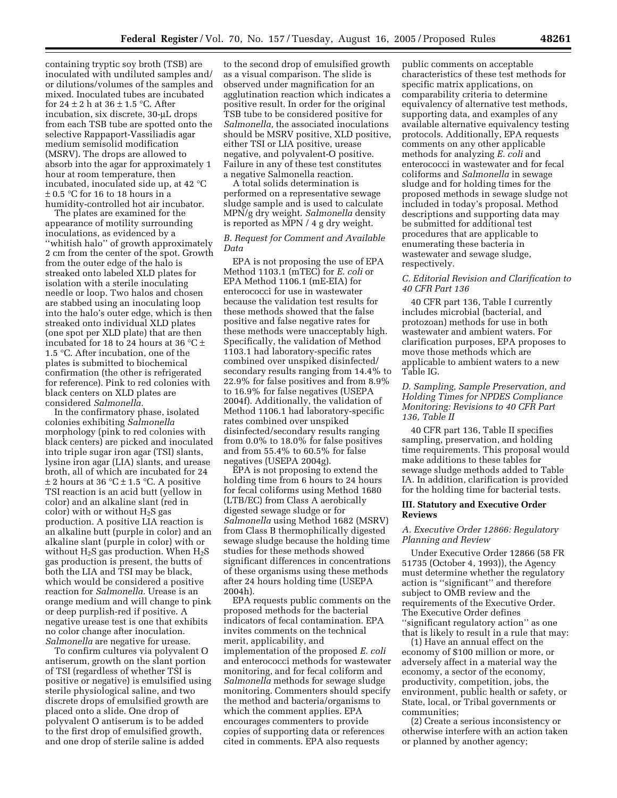containing tryptic soy broth (TSB) are inoculated with undiluted samples and/ or dilutions/volumes of the samples and mixed. Inoculated tubes are incubated for 24  $\pm$  2 h at 36  $\pm$  1.5 °C. After incubation, six discrete, 30-µL drops from each TSB tube are spotted onto the selective Rappaport-Vassiliadis agar medium semisolid modification (MSRV). The drops are allowed to absorb into the agar for approximately 1 hour at room temperature, then incubated, inoculated side up, at 42 °C ± 0.5 °C for 16 to 18 hours in a humidity-controlled hot air incubator.

The plates are examined for the appearance of motility surrounding inoculations, as evidenced by a ''whitish halo'' of growth approximately 2 cm from the center of the spot. Growth from the outer edge of the halo is streaked onto labeled XLD plates for isolation with a sterile inoculating needle or loop. Two halos and chosen are stabbed using an inoculating loop into the halo's outer edge, which is then streaked onto individual XLD plates (one spot per XLD plate) that are then incubated for 18 to 24 hours at 36  $\mathrm{^{\circ}C}$  ± 1.5 °C. After incubation, one of the plates is submitted to biochemical confirmation (the other is refrigerated for reference). Pink to red colonies with black centers on XLD plates are considered *Salmonella.*

In the confirmatory phase, isolated colonies exhibiting *Salmonella* morphology (pink to red colonies with black centers) are picked and inoculated into triple sugar iron agar (TSI) slants, lysine iron agar (LIA) slants, and urease broth, all of which are incubated for 24  $\pm$  2 hours at 36 °C  $\pm$  1.5 °C. A positive TSI reaction is an acid butt (yellow in color) and an alkaline slant (red in color) with or without  $H_2S$  gas production. A positive LIA reaction is an alkaline butt (purple in color) and an alkaline slant (purple in color) with or without  $H_2S$  gas production. When  $H_2S$ gas production is present, the butts of both the LIA and TSI may be black, which would be considered a positive reaction for *Salmonella.* Urease is an orange medium and will change to pink or deep purplish-red if positive. A negative urease test is one that exhibits no color change after inoculation. *Salmonella* are negative for urease.

To confirm cultures via polyvalent O antiserum, growth on the slant portion of TSI (regardless of whether TSI is positive or negative) is emulsified using sterile physiological saline, and two discrete drops of emulsified growth are placed onto a slide. One drop of polyvalent O antiserum is to be added to the first drop of emulsified growth, and one drop of sterile saline is added

to the second drop of emulsified growth as a visual comparison. The slide is observed under magnification for an agglutination reaction which indicates a positive result. In order for the original TSB tube to be considered positive for *Salmonella,* the associated inoculations should be MSRV positive, XLD positive, either TSI or LIA positive, urease negative, and polyvalent-O positive. Failure in any of these test constitutes a negative Salmonella reaction.

A total solids determination is performed on a representative sewage sludge sample and is used to calculate MPN/g dry weight. *Salmonella* density is reported as MPN / 4 g dry weight.

## *B. Request for Comment and Available Data*

EPA is not proposing the use of EPA Method 1103.1 (mTEC) for *E. coli* or EPA Method 1106.1 (mE-EIA) for enterococci for use in wastewater because the validation test results for these methods showed that the false positive and false negative rates for these methods were unacceptably high. Specifically, the validation of Method 1103.1 had laboratory-specific rates combined over unspiked disinfected/ secondary results ranging from 14.4% to 22.9% for false positives and from 8.9% to 16.9% for false negatives (USEPA 2004f). Additionally, the validation of Method 1106.1 had laboratory-specific rates combined over unspiked disinfected/secondary results ranging from 0.0% to 18.0% for false positives and from 55.4% to 60.5% for false negatives (USEPA 2004g).

EPA is not proposing to extend the holding time from 6 hours to 24 hours for fecal coliforms using Method 1680 (LTB/EC) from Class A aerobically digested sewage sludge or for *Salmonella* using Method 1682 (MSRV) from Class B thermophilically digested sewage sludge because the holding time studies for these methods showed significant differences in concentrations of these organisms using these methods after 24 hours holding time (USEPA 2004h).

EPA requests public comments on the proposed methods for the bacterial indicators of fecal contamination. EPA invites comments on the technical merit, applicability, and implementation of the proposed *E. coli* and enterococci methods for wastewater monitoring, and for fecal coliform and *Salmonella* methods for sewage sludge monitoring. Commenters should specify the method and bacteria/organisms to which the comment applies. EPA encourages commenters to provide copies of supporting data or references cited in comments. EPA also requests

public comments on acceptable characteristics of these test methods for specific matrix applications, on comparability criteria to determine equivalency of alternative test methods, supporting data, and examples of any available alternative equivalency testing protocols. Additionally, EPA requests comments on any other applicable methods for analyzing *E. coli* and enterococci in wastewater and for fecal coliforms and *Salmonella* in sewage sludge and for holding times for the proposed methods in sewage sludge not included in today's proposal. Method descriptions and supporting data may be submitted for additional test procedures that are applicable to enumerating these bacteria in wastewater and sewage sludge, respectively.

#### *C. Editorial Revision and Clarification to 40 CFR Part 136*

40 CFR part 136, Table I currently includes microbial (bacterial, and protozoan) methods for use in both wastewater and ambient waters. For clarification purposes, EPA proposes to move those methods which are applicable to ambient waters to a new Table IG.

## *D. Sampling, Sample Preservation, and Holding Times for NPDES Compliance Monitoring: Revisions to 40 CFR Part 136, Table II*

40 CFR part 136, Table II specifies sampling, preservation, and holding time requirements. This proposal would make additions to these tables for sewage sludge methods added to Table IA. In addition, clarification is provided for the holding time for bacterial tests.

## **III. Statutory and Executive Order Reviews**

#### *A. Executive Order 12866: Regulatory Planning and Review*

Under Executive Order 12866 (58 FR 51735 (October 4, 1993)), the Agency must determine whether the regulatory action is ''significant'' and therefore subject to OMB review and the requirements of the Executive Order. The Executive Order defines ''significant regulatory action'' as one that is likely to result in a rule that may:

(1) Have an annual effect on the economy of \$100 million or more, or adversely affect in a material way the economy, a sector of the economy, productivity, competition, jobs, the environment, public health or safety, or State, local, or Tribal governments or communities;

(2) Create a serious inconsistency or otherwise interfere with an action taken or planned by another agency;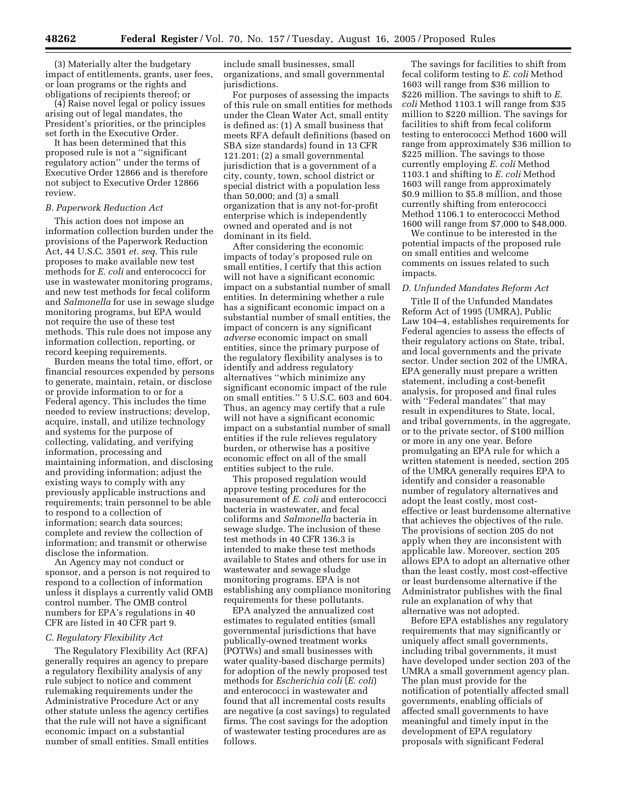(3) Materially alter the budgetary impact of entitlements, grants, user fees, or loan programs or the rights and obligations of recipients thereof; or

(4) Raise novel legal or policy issues arising out of legal mandates, the President's priorities, or the principles set forth in the Executive Order.

It has been determined that this proposed rule is not a ''significant regulatory action'' under the terms of Executive Order 12866 and is therefore not subject to Executive Order 12866 review.

#### *B. Paperwork Reduction Act*

This action does not impose an information collection burden under the provisions of the Paperwork Reduction Act, 44 U.S.C. 3501 *et. seq.* This rule proposes to make available new test methods for *E. coli* and enterococci for use in wastewater monitoring programs, and new test methods for fecal coliform and *Salmonella* for use in sewage sludge monitoring programs, but EPA would not require the use of these test methods. This rule does not impose any information collection, reporting, or record keeping requirements.

Burden means the total time, effort, or financial resources expended by persons to generate, maintain, retain, or disclose or provide information to or for a Federal agency. This includes the time needed to review instructions; develop, acquire, install, and utilize technology and systems for the purpose of collecting, validating, and verifying information, processing and maintaining information, and disclosing and providing information; adjust the existing ways to comply with any previously applicable instructions and requirements; train personnel to be able to respond to a collection of information; search data sources; complete and review the collection of information; and transmit or otherwise disclose the information.

An Agency may not conduct or sponsor, and a person is not required to respond to a collection of information unless it displays a currently valid OMB control number. The OMB control numbers for EPA's regulations in 40 CFR are listed in 40 CFR part 9.

#### *C. Regulatory Flexibility Act*

The Regulatory Flexibility Act (RFA) generally requires an agency to prepare a regulatory flexibility analysis of any rule subject to notice and comment rulemaking requirements under the Administrative Procedure Act or any other statute unless the agency certifies that the rule will not have a significant economic impact on a substantial number of small entities. Small entities

include small businesses, small organizations, and small governmental jurisdictions.

For purposes of assessing the impacts of this rule on small entities for methods under the Clean Water Act, small entity is defined as: (1) A small business that meets RFA default definitions (based on SBA size standards) found in 13 CFR 121.201; (2) a small governmental jurisdiction that is a government of a city, county, town, school district or special district with a population less than 50,000; and (3) a small organization that is any not-for-profit enterprise which is independently owned and operated and is not dominant in its field.

After considering the economic impacts of today's proposed rule on small entities, I certify that this action will not have a significant economic impact on a substantial number of small entities. In determining whether a rule has a significant economic impact on a substantial number of small entities, the impact of concern is any significant *adverse* economic impact on small entities, since the primary purpose of the regulatory flexibility analyses is to identify and address regulatory alternatives ''which minimize any significant economic impact of the rule on small entities.'' 5 U.S.C. 603 and 604. Thus, an agency may certify that a rule will not have a significant economic impact on a substantial number of small entities if the rule relieves regulatory burden, or otherwise has a positive economic effect on all of the small entities subject to the rule.

This proposed regulation would approve testing procedures for the measurement of *E. coli* and enterococci bacteria in wastewater, and fecal coliforms and *Salmonella* bacteria in sewage sludge. The inclusion of these test methods in 40 CFR 136.3 is intended to make these test methods available to States and others for use in wastewater and sewage sludge monitoring programs. EPA is not establishing any compliance monitoring requirements for these pollutants.

EPA analyzed the annualized cost estimates to regulated entities (small governmental jurisdictions that have publically-owned treatment works (POTWs) and small businesses with water quality-based discharge permits) for adoption of the newly proposed test methods for *Escherichia coli* (*E. coli*) and enterococci in wastewater and found that all incremental costs results are negative (a cost savings) to regulated firms. The cost savings for the adoption of wastewater testing procedures are as follows.

The savings for facilities to shift from fecal coliform testing to *E. coli* Method 1603 will range from \$36 million to \$226 million. The savings to shift to *E. coli* Method 1103.1 will range from \$35 million to \$220 million. The savings for facilities to shift from fecal coliform testing to enterococci Method 1600 will range from approximately \$36 million to \$225 million. The savings to those currently employing *E. coli* Method 1103.1 and shifting to *E. coli* Method 1603 will range from approximately \$0.9 million to \$5.8 million, and those currently shifting from enterococci Method 1106.1 to enterococci Method 1600 will range from \$7,000 to \$48,000.

We continue to be interested in the potential impacts of the proposed rule on small entities and welcome comments on issues related to such impacts.

## *D. Unfunded Mandates Reform Act*

Title II of the Unfunded Mandates Reform Act of 1995 (UMRA), Public Law 104–4, establishes requirements for Federal agencies to assess the effects of their regulatory actions on State, tribal, and local governments and the private sector. Under section 202 of the UMRA, EPA generally must prepare a written statement, including a cost-benefit analysis, for proposed and final rules with ''Federal mandates'' that may result in expenditures to State, local, and tribal governments, in the aggregate, or to the private sector, of \$100 million or more in any one year. Before promulgating an EPA rule for which a written statement is needed, section 205 of the UMRA generally requires EPA to identify and consider a reasonable number of regulatory alternatives and adopt the least costly, most costeffective or least burdensome alternative that achieves the objectives of the rule. The provisions of section 205 do not apply when they are inconsistent with applicable law. Moreover, section 205 allows EPA to adopt an alternative other than the least costly, most cost-effective or least burdensome alternative if the Administrator publishes with the final rule an explanation of why that alternative was not adopted.

Before EPA establishes any regulatory requirements that may significantly or uniquely affect small governments, including tribal governments, it must have developed under section 203 of the UMRA a small government agency plan. The plan must provide for the notification of potentially affected small governments, enabling officials of affected small governments to have meaningful and timely input in the development of EPA regulatory proposals with significant Federal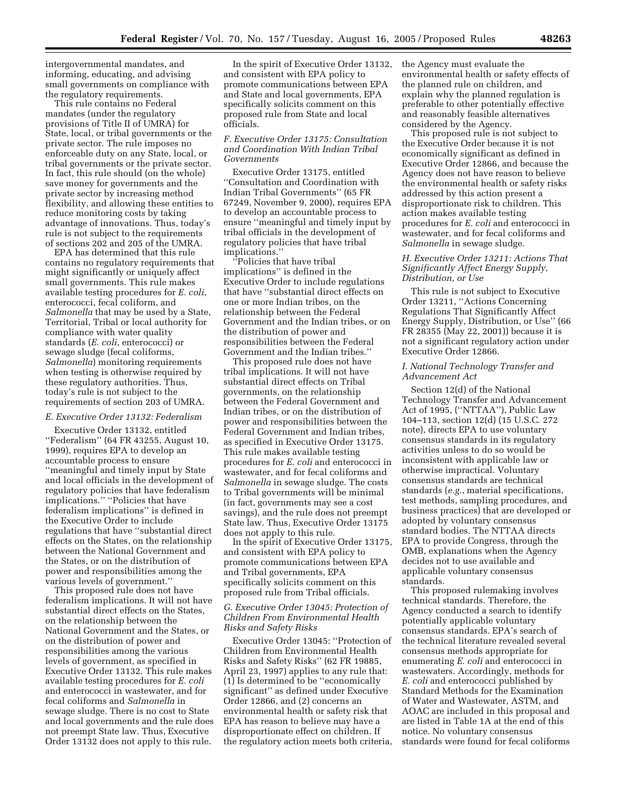intergovernmental mandates, and informing, educating, and advising small governments on compliance with the regulatory requirements.

This rule contains no Federal mandates (under the regulatory provisions of Title II of UMRA) for State, local, or tribal governments or the private sector. The rule imposes no enforceable duty on any State, local, or tribal governments or the private sector. In fact, this rule should (on the whole) save money for governments and the private sector by increasing method flexibility, and allowing these entities to reduce monitoring costs by taking advantage of innovations. Thus, today's rule is not subject to the requirements of sections 202 and 205 of the UMRA.

EPA has determined that this rule contains no regulatory requirements that might significantly or uniquely affect small governments. This rule makes available testing procedures for *E. coli*, enterococci, fecal coliform, and *Salmonella* that may be used by a State, Territorial, Tribal or local authority for compliance with water quality standards (*E. coli*, enterococci) or sewage sludge (fecal coliforms, *Salmonella*) monitoring requirements when testing is otherwise required by these regulatory authorities. Thus, today's rule is not subject to the requirements of section 203 of UMRA.

#### *E. Executive Order 13132: Federalism*

Executive Order 13132, entitled ''Federalism'' (64 FR 43255, August 10, 1999), requires EPA to develop an accountable process to ensure ''meaningful and timely input by State and local officials in the development of regulatory policies that have federalism implications.'' ''Policies that have federalism implications'' is defined in the Executive Order to include regulations that have ''substantial direct effects on the States, on the relationship between the National Government and the States, or on the distribution of power and responsibilities among the various levels of government.''

This proposed rule does not have federalism implications. It will not have substantial direct effects on the States, on the relationship between the National Government and the States, or on the distribution of power and responsibilities among the various levels of government, as specified in Executive Order 13132. This rule makes available testing procedures for *E. coli* and enterococci in wastewater, and for fecal coliforms and *Salmonella* in sewage sludge. There is no cost to State and local governments and the rule does not preempt State law. Thus, Executive Order 13132 does not apply to this rule.

In the spirit of Executive Order 13132, and consistent with EPA policy to promote communications between EPA and State and local governments, EPA specifically solicits comment on this proposed rule from State and local officials.

## *F. Executive Order 13175: Consultation and Coordination With Indian Tribal Governments*

Executive Order 13175, entitled ''Consultation and Coordination with Indian Tribal Governments'' (65 FR 67249, November 9, 2000), requires EPA to develop an accountable process to ensure ''meaningful and timely input by tribal officials in the development of regulatory policies that have tribal implications.''

''Policies that have tribal implications'' is defined in the Executive Order to include regulations that have ''substantial direct effects on one or more Indian tribes, on the relationship between the Federal Government and the Indian tribes, or on the distribution of power and responsibilities between the Federal Government and the Indian tribes.''

This proposed rule does not have tribal implications. It will not have substantial direct effects on Tribal governments, on the relationship between the Federal Government and Indian tribes, or on the distribution of power and responsibilities between the Federal Government and Indian tribes, as specified in Executive Order 13175. This rule makes available testing procedures for *E. coli* and enterococci in wastewater, and for fecal coliforms and *Salmonella* in sewage sludge. The costs to Tribal governments will be minimal (in fact, governments may see a cost savings), and the rule does not preempt State law. Thus, Executive Order 13175 does not apply to this rule.

In the spirit of Executive Order 13175, and consistent with EPA policy to promote communications between EPA and Tribal governments, EPA specifically solicits comment on this proposed rule from Tribal officials.

## *G. Executive Order 13045: Protection of Children From Environmental Health Risks and Safety Risks*

Executive Order 13045: ''Protection of Children from Environmental Health Risks and Safety Risks'' (62 FR 19885, April 23, 1997) applies to any rule that: (1) Is determined to be ''economically significant'' as defined under Executive Order 12866, and (2) concerns an environmental health or safety risk that EPA has reason to believe may have a disproportionate effect on children. If the regulatory action meets both criteria, the Agency must evaluate the environmental health or safety effects of the planned rule on children, and explain why the planned regulation is preferable to other potentially effective and reasonably feasible alternatives considered by the Agency.

This proposed rule is not subject to the Executive Order because it is not economically significant as defined in Executive Order 12866, and because the Agency does not have reason to believe the environmental health or safety risks addressed by this action present a disproportionate risk to children. This action makes available testing procedures for *E. coli* and enterococci in wastewater, and for fecal coliforms and *Salmonella* in sewage sludge.

#### *H. Executive Order 13211: Actions That Significantly Affect Energy Supply, Distribution, or Use*

This rule is not subject to Executive Order 13211, ''Actions Concerning Regulations That Significantly Affect Energy Supply, Distribution, or Use'' (66 FR 28355 (May 22, 2001)) because it is not a significant regulatory action under Executive Order 12866.

#### *I. National Technology Transfer and Advancement Act*

Section 12(d) of the National Technology Transfer and Advancement Act of 1995, (''NTTAA''), Public Law 104–113, section 12(d) (15 U.S.C. 272 note), directs EPA to use voluntary consensus standards in its regulatory activities unless to do so would be inconsistent with applicable law or otherwise impractical. Voluntary consensus standards are technical standards (*e.g.*, material specifications, test methods, sampling procedures, and business practices) that are developed or adopted by voluntary consensus standard bodies. The NTTAA directs EPA to provide Congress, through the OMB, explanations when the Agency decides not to use available and applicable voluntary consensus standards.

This proposed rulemaking involves technical standards. Therefore, the Agency conducted a search to identify potentially applicable voluntary consensus standards. EPA's search of the technical literature revealed several consensus methods appropriate for enumerating *E. coli* and enterococci in wastewaters. Accordingly, methods for *E. coli* and enterococci published by Standard Methods for the Examination of Water and Wastewater, ASTM, and AOAC are included in this proposal and are listed in Table 1A at the end of this notice. No voluntary consensus standards were found for fecal coliforms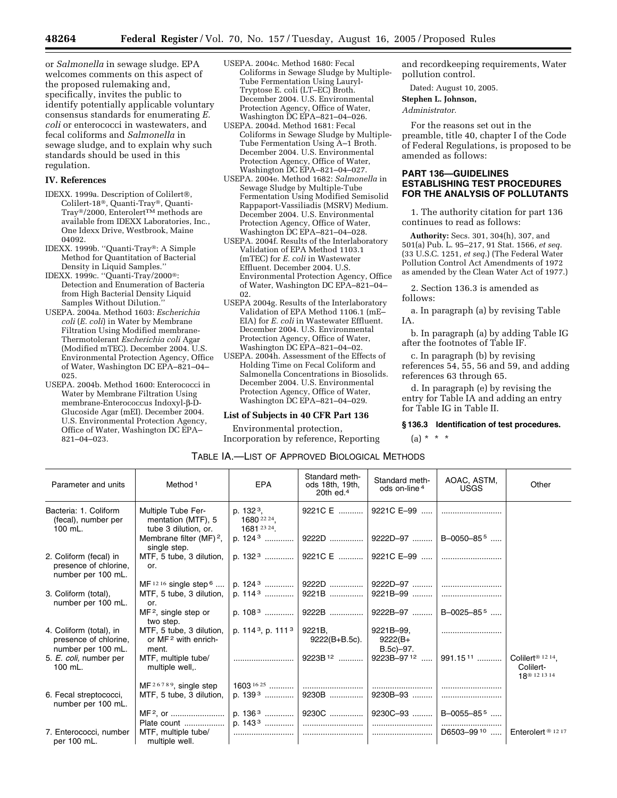or *Salmonella* in sewage sludge. EPA welcomes comments on this aspect of the proposed rulemaking and, specifically, invites the public to identify potentially applicable voluntary consensus standards for enumerating *E. coli* or enterococci in wastewaters, and fecal coliforms and *Salmonella* in sewage sludge, and to explain why such standards should be used in this regulation.

#### **IV. References**

- IDEXX. 1999a. Description of Colilert®, Colilert-18<sup>®</sup>, Quanti-Tray®, Quanti-Tray<sup>®</sup>/2000, Enterolert<sup>TM</sup> methods are available from IDEXX Laboratories, Inc., One Idexx Drive, Westbrook, Maine 04092.
- IDEXX. 1999b. "Quanti-Tray®: A Simple Method for Quantitation of Bacterial Density in Liquid Samples.''
- IDEXX. 1999c. ''Quanti-Tray/2000: Detection and Enumeration of Bacteria from High Bacterial Density Liquid Samples Without Dilution.''
- USEPA. 2004a. Method 1603: *Escherichia coli* (*E. coli*) in Water by Membrane Filtration Using Modified membrane-Thermotolerant *Escherichia coli* Agar (Modified mTEC). December 2004. U.S. Environmental Protection Agency, Office of Water, Washington DC EPA–821–04– 025.
- USEPA. 2004b. Method 1600: Enterococci in Water by Membrane Filtration Using membrane-Enterococcus Indoxyl-b-D-Glucoside Agar (mEI). December 2004. U.S. Environmental Protection Agency, Office of Water, Washington DC EPA– 821–04–023.
- USEPA. 2004c. Method 1680: Fecal Coliforms in Sewage Sludge by Multiple-Tube Fermentation Using Lauryl-Tryptose E. coli (LT–EC) Broth. December 2004. U.S. Environmental Protection Agency, Office of Water, Washington DC EPA–821–04–026.
- USEPA. 2004d. Method 1681: Fecal Coliforms in Sewage Sludge by Multiple-Tube Fermentation Using A–1 Broth. December 2004. U.S. Environmental Protection Agency, Office of Water, Washington DC EPA–821–04–027.
- USEPA. 2004e. Method 1682: *Salmonella* in Sewage Sludge by Multiple-Tube Fermentation Using Modified Semisolid Rappaport-Vassiliadis (MSRV) Medium. December 2004. U.S. Environmental Protection Agency, Office of Water, Washington DC EPA-821-04-028.
- USEPA. 2004f. Results of the Interlaboratory Validation of EPA Method 1103.1 (mTEC) for *E. coli* in Wastewater Effluent. December 2004. U.S. Environmental Protection Agency, Office of Water, Washington DC EPA–821–04– 02.
- USEPA 2004g. Results of the Interlaboratory Validation of EPA Method 1106.1 (mE– EIA) for *E. coli* in Wastewater Effluent. December 2004. U.S. Environmental Protection Agency, Office of Water, Washington DC EPA–821–04–02.
- USEPA. 2004h. Assessment of the Effects of Holding Time on Fecal Coliform and Salmonella Concentrations in Biosolids. December 2004. U.S. Environmental Protection Agency, Office of Water, Washington DC EPA–821–04–029.

#### **List of Subjects in 40 CFR Part 136**

Environmental protection, Incorporation by reference, Reporting

and recordkeeping requirements, Water pollution control.

Dated: August 10, 2005.

**Stephen L. Johnson,** 

#### *Administrator.*

For the reasons set out in the preamble, title 40, chapter I of the Code of Federal Regulations, is proposed to be amended as follows:

## **PART 136—GUIDELINES ESTABLISHING TEST PROCEDURES FOR THE ANALYSIS OF POLLUTANTS**

1. The authority citation for part 136 continues to read as follows:

**Authority:** Secs. 301, 304(h), 307, and 501(a) Pub. L. 95–217, 91 Stat. 1566, *et seq.* (33 U.S.C. 1251, *et seq.*) (The Federal Water Pollution Control Act Amendments of 1972 as amended by the Clean Water Act of 1977.)

2. Section 136.3 is amended as follows:

a. In paragraph (a) by revising Table IA.

b. In paragraph (a) by adding Table IG after the footnotes of Table IF.

c. In paragraph (b) by revising references 54, 55, 56 and 59, and adding references 63 through 65.

d. In paragraph (e) by revising the entry for Table IA and adding an entry for Table IG in Table II.

#### **§ 136.3 Identification of test procedures.**

 $(a) * * * *$ 

| TABLE IA.—LIST OF APPROVED BIOLOGICAL METHODS |  |
|-----------------------------------------------|--|
|-----------------------------------------------|--|

| Parameter and units                                                    | Method <sup>1</sup>                                              | <b>EPA</b>                                         | Standard meth-<br>ods 18th, 19th,<br>20th $ed4$ | Standard meth-<br>ods on-line <sup>4</sup> | AOAC, ASTM,<br><b>USGS</b>                            | Other                                                                  |
|------------------------------------------------------------------------|------------------------------------------------------------------|----------------------------------------------------|-------------------------------------------------|--------------------------------------------|-------------------------------------------------------|------------------------------------------------------------------------|
| Bacteria: 1. Coliform<br>(fecal), number per<br>100 mL.                | Multiple Tube Fer-<br>mentation (MTF), 5<br>tube 3 dilution, or. | p. 132 <sup>3</sup> ,<br>1680 22 24,<br>1681 23 24 | 9221C E                                         | 9221C E-99                                 |                                                       |                                                                        |
|                                                                        | Membrane filter $(MF)^2$ ,<br>single step.                       | p. 124 <sup>3</sup>                                |                                                 |                                            |                                                       |                                                                        |
| 2. Coliform (fecal) in<br>presence of chlorine,<br>number per 100 mL.  | MTF, 5 tube, 3 dilution,<br>or.                                  | p. $1323$                                          |                                                 |                                            |                                                       |                                                                        |
|                                                                        | MF $12.16$ single step $6$                                       | p. $1243$                                          | 9222D                                           |                                            |                                                       |                                                                        |
| 3. Coliform (total),<br>number per 100 mL.                             | MTF, 5 tube, 3 dilution,<br>or.                                  |                                                    | 9221B                                           | 9221B-99                                   |                                                       |                                                                        |
|                                                                        | $MF2$ , single step or<br>two step.                              | p. $1083$                                          |                                                 | 9222B    9222B-97    B-0025-855            |                                                       |                                                                        |
| 4. Coliform (total), in<br>presence of chlorine,<br>number per 100 mL. | MTF, 5 tube, 3 dilution,<br>or $MF2$ with enrich-<br>ment.       | p. $1143$ , p. $1113$                              | $9221B$ , $9221B-99$ ,<br>$9222(B+B.5c)$ .      | 9222(B+<br>B.5c)-97.                       |                                                       |                                                                        |
| 5. E. coli, number per<br>$100$ mL.                                    | MTF, multiple tube/<br>multiple well,.                           |                                                    |                                                 |                                            | 991.15 <sup>11</sup>                                  | Colilert <sup>® 12 14</sup> ,<br>Colilert-<br>18 <sup>®</sup> 12 13 14 |
|                                                                        | $MF26789$ , single step                                          | $1603^{1625}$                                      |                                                 |                                            |                                                       |                                                                        |
| 6. Fecal streptococci,<br>number per 100 mL.                           | MTF, 5 tube, 3 dilution,                                         | p. $1393$                                          | 9230B                                           | 9230B-93                                   |                                                       |                                                                        |
|                                                                        |                                                                  | p. $1363$                                          |                                                 |                                            |                                                       |                                                                        |
|                                                                        | Plate count                                                      | p. 143 <sup>3</sup>                                |                                                 |                                            |                                                       |                                                                        |
| 7. Enterococci, number<br>per 100 mL.                                  | MTF, multiple tube/<br>multiple well.                            |                                                    |                                                 |                                            | D6503-99 <sup>10</sup>   Enterolert <sup>® 1217</sup> |                                                                        |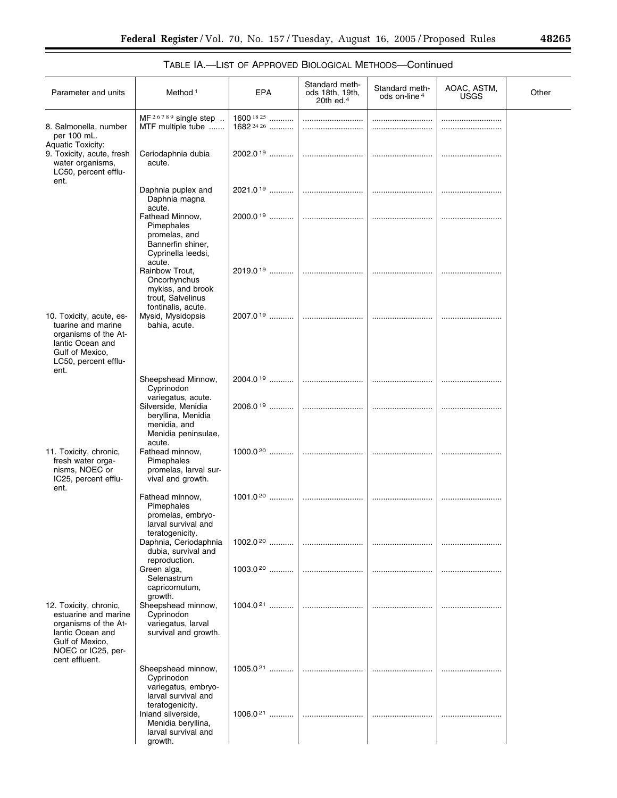|  | 48265 |  |
|--|-------|--|
|  |       |  |

۰

# TABLE IA.—LIST OF APPROVED BIOLOGICAL METHODS—Continued

| Parameter and units                                                                                                                                   | Method <sup>1</sup>                                                                                      | EPA                          | Standard meth-<br>ods 18th, 19th,<br>20th ed. $4$ | Standard meth-<br>ods on-line <sup>4</sup> | AOAC, ASTM,<br><b>USGS</b> | Other |
|-------------------------------------------------------------------------------------------------------------------------------------------------------|----------------------------------------------------------------------------------------------------------|------------------------------|---------------------------------------------------|--------------------------------------------|----------------------------|-------|
| 8. Salmonella, number<br>per 100 mL.<br><b>Aquatic Toxicity:</b>                                                                                      | MF <sup>26789</sup> single step<br>MTF multiple tube                                                     | 1600 $1825$<br>$1682^{2426}$ |                                                   |                                            |                            |       |
| 9. Toxicity, acute, fresh<br>water organisms,<br>LC50, percent efflu-<br>ent.                                                                         | Ceriodaphnia dubia<br>acute.                                                                             | $2002.019$                   |                                                   |                                            |                            |       |
|                                                                                                                                                       | Daphnia puplex and<br>Daphnia magna                                                                      | $2021.0^{19}$                |                                                   |                                            |                            |       |
|                                                                                                                                                       | acute.<br>Fathead Minnow.<br>Pimephales<br>promelas, and<br>Bannerfin shiner,<br>Cyprinella leedsi,      |                              |                                                   |                                            |                            |       |
|                                                                                                                                                       | acute.<br>Rainbow Trout,<br>Oncorhynchus<br>mykiss, and brook<br>trout, Salvelinus<br>fontinalis, acute. |                              |                                                   |                                            |                            |       |
| 10. Toxicity, acute, es-<br>tuarine and marine<br>organisms of the At-<br>lantic Ocean and<br>Gulf of Mexico,<br>LC50, percent efflu-<br>ent.         | Mysid, Mysidopsis<br>bahia, acute.                                                                       | 2007.0 <sup>19</sup>         |                                                   |                                            |                            |       |
|                                                                                                                                                       | Sheepshead Minnow,<br>Cyprinodon                                                                         |                              |                                                   |                                            |                            |       |
|                                                                                                                                                       | variegatus, acute.<br>Silverside, Menidia<br>beryllina, Menidia<br>menidia, and<br>Menidia peninsulae,   | 2006.019                     |                                                   |                                            |                            |       |
| 11. Toxicity, chronic,<br>fresh water orga-<br>nisms, NOEC or<br>IC25, percent efflu-<br>ent.                                                         | acute.<br>Fathead minnow,<br>Pimephales<br>promelas, larval sur-<br>vival and growth.                    |                              |                                                   |                                            |                            |       |
|                                                                                                                                                       | Fathead minnow,<br>Pimephales<br>promelas, embryo-<br>larval survival and<br>teratogenicity.             |                              |                                                   |                                            |                            |       |
|                                                                                                                                                       | Daphnia, Ceriodaphnia<br>dubia, survival and<br>reproduction.                                            |                              |                                                   |                                            |                            |       |
|                                                                                                                                                       | Green alga,<br>Selenastrum<br>capricornutum,                                                             | $1003.020$                   |                                                   |                                            |                            |       |
| 12. Toxicity, chronic,<br>estuarine and marine<br>organisms of the At-<br>lantic Ocean and<br>Gulf of Mexico,<br>NOEC or IC25, per-<br>cent effluent. | growth.<br>Sheepshead minnow,<br>Cyprinodon<br>variegatus, larval<br>survival and growth.                | $1004.021$                   |                                                   |                                            |                            |       |
|                                                                                                                                                       | Sheepshead minnow,<br>Cyprinodon<br>variegatus, embryo-<br>larval survival and<br>teratogenicity.        |                              |                                                   |                                            |                            |       |
|                                                                                                                                                       | Inland silverside,<br>Menidia beryllina,<br>larval survival and<br>growth.                               | $1006.021$                   |                                                   |                                            |                            |       |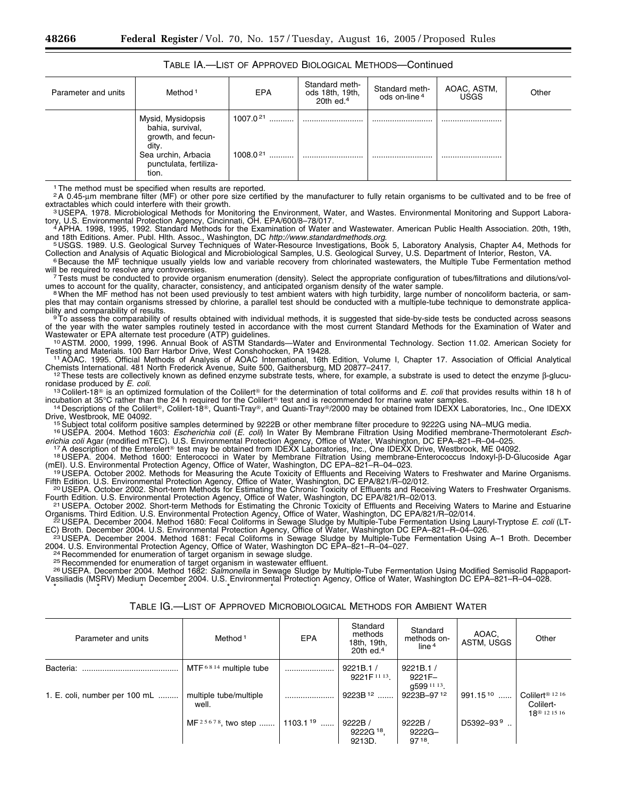| Parameter and units | Method <sup>1</sup>                                                                                                            | <b>EPA</b>           | Standard meth-<br>ods 18th, 19th,<br>20th ed. $4$ | Standard meth-<br>ods on-line <sup>4</sup> | AOAC, ASTM,<br><b>USGS</b> | Other |
|---------------------|--------------------------------------------------------------------------------------------------------------------------------|----------------------|---------------------------------------------------|--------------------------------------------|----------------------------|-------|
|                     | Mysid, Mysidopsis<br>bahia, survival,<br>growth, and fecun-<br>dity.<br>Sea urchin, Arbacia<br>punctulata, fertiliza-<br>tion. | 1007.021<br>1008.021 |                                                   | <br>                                       | <br>                       |       |

## TABLE IA.—LIST OF APPROVED BIOLOGICAL METHODS—Continued

<sup>1</sup> The method must be specified when results are reported.

2A 0.45-µm membrane filter (MF) or other pore size certified by the manufacturer to fully retain organisms to be cultivated and to be free of

extractables which could interfere with their growth.<br>3 USEPA. 1978. Microbiological Methods for Monitoring the Environment, Water, and Wastes. Environmental Monitoring and Support Laboratory, U.S. Environmental Protection Agency, Cincinnati, OH. EPA/600/8–78/017.<br>4 APHA. 1998, 1995, 1992. Standard Methods for the Examination of Water and Wastewater. American Public Health Association. 20th, 19th,

and 18th Editions. Amer. Publ. Hlth. Assoc., Washington, DC *http://www.standardmethods.org.*<br>5 USGS. 1989. U.S. Geological Survey Techniques of Water-Resource Investigations, Book 5, Laboratory Analysis, Chapter A4, Metho

Collection and Analysis of Aquatic Biological and Microbiological Samples, U.S. Geological Survey, U.S. Department of Interior, Reston, VA.<br>Because the MF technique usually yields low and variable recovery from chlorinated will be required to resolve any controversies.<br>7Tests must be conducted to provide organism enumeration (density). Select the appropriate configuration of tubes/filtrations and dilutions/vol-

umes to account for the quality, character, consistency, and anticipated organism density of the water sample.<br>"When the MF method has not been used previously to test ambient waters with high turbidity, large number of no

<sup>8</sup> When the MF method has not been used previously to test ambient waters with high turbidity, large number of noncoliform bacteria, or samples that may contain organisms stressed by chlorine, a parallel test should be co

To assess the comparability of results obtained with individual methods, it is suggested that side-by-side tests be conducted across seasons of the year with the water samples routinely tested in accordance with the most current Standard Methods for the Examination of Water and Wastewater or EPA alternate test procedure (ATP) guidelines.<br><sup>10</sup>ASTM. 2000, 1999, 1996. Annual Book of ASTM Standards—Water and Environmental Technology. Section 11.02. American Society for

Testing and Materials. 100 Barr Harbor Drive, West Conshohocken, PA 19428.<br>11 AOAC. 1995. Official Methods of Analysis of AOAC International, 16th Edition, Volume I, Chapter 17. Association of Official Analytical Chemists

<sup>12</sup> These tests are collectively known as defined enzyme substrate tests, where, for example, a substrate is used to detect the enzyme β-glucu-

ronidase produced by *E. coli.*<br><sup>13</sup> Colilert-18® is an optimized formulation of the Colilert® for the determination of total coliforms and *E. coli* that provides results within 18 h of<br>incubation at 35°C rather than the

<sup>14</sup> Descriptions of the Colilert<sup>®</sup>, Colilert-18<sup>®</sup>, Quanti-Tray®, and Quanti-Tray®/2000 may be obtained from IDEXX Laboratories, Inc., One IDEXX<br>Drive, Westbrook, ME 04092.

<sup>15</sup> Subject total coliform positive samples determined by 9222B or other membrane filter procedure to 9222G using NA–MUG media.<br><sup>16</sup> USEPA. 2004. Method 1603: *Escherichia coli (E. coli)* In Water By Membrane Filtration U erichia coli Agar (modified mTEC). U.S. Environmental Protection Agency, Office of Water, Washington, DC EPA–821–R–04–025.<br><sup>17</sup> A description of the Enterolert® test may be obtained from IDEXX Laboratories, Inc., One IDE

(mEI). U.S. Environmental Protection Agency, Office of Water, Washington, DC EPA-821-R-04-023.<br><sup>19</sup> USEPA. October 2002. Methods for Measuring the Acute Toxicity of Effluents and Receiving Waters to Freshwater and Marine O

Fifth Edition. U.S. Environmental Protection Agency, Office of Water, Washington, DC EPA/821/R-02/012.<br><sup>20</sup> USEPA. October 2002. Short-term Methods for Estimating the Chronic Toxicity of Effluents and Receiving Waters to F Fourth Edition. U.S. Environmental Protection Agency, Office of Water, Washington, DC EPA/821/R–02/013.<br><sup>21</sup> USEPA. October 2002. Short-term Methods for Estimating the Chronic Toxicity of Effluents and Receiving Waters to

Organisms. Third Edition. U.S. Environmental Protection Agency, Office of Water, Washington, DC EPA/821/R–02/014.<br>-2 USEPA. December 2004. Method 1680: Fecal Coliforms in Sewage Sludge by Multiple-Tube Fermentation Using L

EC) Broth. December 2004. U.S. Environmental Protection Agency, Office of Water, Washington DC EPA–821–R–04–026.<br><sup>23</sup> USEPA. December 2004. Method 1681: Fecal Coliforms in Sewage Sludge by Multiple-Tube Fermentation Using

<sup>24</sup> Recommended for enumeration of target organism in sewage sludge.<br><sup>25</sup> Recommended for enumeration of target organism in wastewater effluent.<br><sup>26</sup> USEPA, December 2004, Method 1682: *Salmonella* in Sewage Sludge by Mul Vassiliadis (MSRV) Medium December 2004. U.S. Environmental Protection Agency, Office of Water, Washington DC EPA–821–R–04–028. \* \* \* \* \* \* \*

| Parameter and units           | Method <sup>1</sup>                                    | <b>EPA</b> | Standard<br>methods<br>18th, 19th,<br>20th $ed4$ | Standard<br>methods on-<br>line <sup>4</sup> | AOAC.<br>ASTM, USGS  | Other                                                                |
|-------------------------------|--------------------------------------------------------|------------|--------------------------------------------------|----------------------------------------------|----------------------|----------------------------------------------------------------------|
| Bacteria:                     | $MTF6814$ multiple tube                                |            | 9221B.1/<br>9221F 11 13                          | 9221B.1/<br>9221F-<br>q599 11 13.            |                      |                                                                      |
| 1. E. coli, number per 100 mL | multiple tube/multiple<br>well.                        |            | 9223B <sup>12</sup>                              | 9223B-9712                                   | 991.15 <sup>10</sup> | Colilert <sup>®</sup> 12 16<br>Colilert-<br>18 <sup>®</sup> 12 15 16 |
|                               | MF <sup>25678</sup> , two step    1103.1 <sup>19</sup> |            | 9222B/<br>9222G <sup>18</sup> .<br>9213D.        | 9222B/<br>$9222G -$<br>97 18                 | $D5392 - 939$        |                                                                      |

## TABLE IG.—LIST OF APPROVED MICROBIOLOGICAL METHODS FOR AMBIENT WATER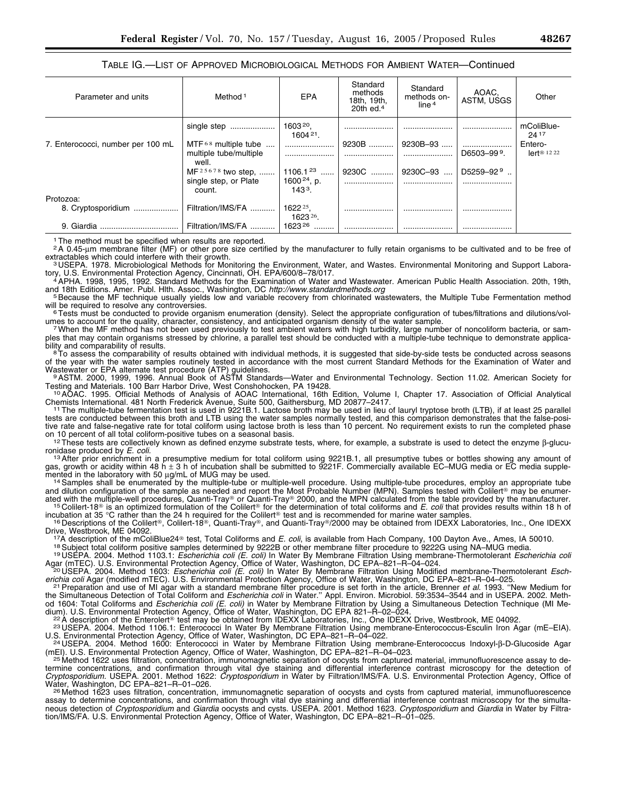TABLE IG.—LIST OF APPROVED MICROBIOLOGICAL METHODS FOR AMBIENT WATER—Continued

| Parameter and units               | Method <sup>1</sup>                                      | <b>EPA</b>                          | Standard<br>methods<br>18th, 19th,<br>20th $ed4$ | Standard<br>methods on-<br>line <sup>4</sup> | AOAC,<br>ASTM, USGS     | Other                              |
|-----------------------------------|----------------------------------------------------------|-------------------------------------|--------------------------------------------------|----------------------------------------------|-------------------------|------------------------------------|
|                                   |                                                          | $1604^{21}$ .                       |                                                  |                                              | .                       | mColiBlue-<br>24 17                |
| 7. Enterococci, number per 100 mL | $MTF68$ multiple tube<br>multiple tube/multiple<br>well. |                                     | 9230B<br>                                        | $9230B - 93$                                 | D6503-99 <sup>9</sup> . | Entero-<br>$erf^{\circledR}$ 12 22 |
|                                   | MF <sup>25678</sup> two step,    1106.1 <sup>23</sup>    |                                     | 9230C                                            | 9230C-93<br>$\cdots$                         | D5259-92 <sup>9</sup>   |                                    |
|                                   | single step, or Plate<br>count.                          | 1600 <sup>24</sup> , p.<br>$1433$ . |                                                  |                                              |                         |                                    |
| Protozoa:                         |                                                          |                                     |                                                  |                                              |                         |                                    |
| 8. Cryptosporidium                | Filtration/IMS/FA                                        | 1622 25.<br>1623 26.                |                                                  |                                              |                         |                                    |
| 9. Giardia                        | Filtration/IMS/FA                                        | 162326                              |                                                  |                                              |                         |                                    |

1The method must be specified when results are reported.

2A 0.45-µm membrane filter (MF) or other pore size certified by the manufacturer to fully retain organisms to be cultivated and to be free of extractables which could interfere with their growth. extractables which could interfere with their growth.<br>3 USEPA. 1978. Microbiological Methods for Monitoring the Environment, Water, and Wastes. Environmental Monitoring and Support Labora-

tory, U.S. Environmental Protection Agency, Cincinnati, OH. EPA/600/8–78/017.<br>4APHA. 1998, 1995, 1992. Standard Methods for the Examination of Water and Wastewater. American Public Health Association. 20th, 19th,

and 18th Editions. Amer. Publ. Hith. Assoc., Washington, DC http://www.standardmethods.org<br><sup>5</sup> Because the MF technique usually yields low and variable recovery from chlorinated wastewaters, the Multiple Tube Fermentation will be required to resolve any controversies.<br><sup>6</sup>Tests must be conducted to provide organism enumeration (density). Select the appropriate configuration of tubes/filtrations and dilutions/vol-

umes to account for the quality, character, consistency, and anticipated organism density of the water sample.<br>7 When the MF method has not been used previously to test ambient waters with high turbidity, large number of n

ples that may contain organisms stressed by chlorine, a parallel test should be conducted with a multiple-tube technique to demonstrate applica-<br>bility and comparability of results.

<sup>8</sup>To assess the comparability of results obtained with individual methods, it is suggested that side-by-side tests be conducted across seasons of the year with the water samples routinely tested in accordance with the most current Standard Methods for the Examination of Water and

Wastewater or EPA alternate test procedure (ATP) guidelines.<br><sup>9</sup>ASTM. 2000, 1999, 1996. Annual Book of ASTM Standards—Water and Environmental Technology. Section 11.02. American Society for

Testing and Materials. 100 Barr Harbor Drive, West Conshohocken, PA 19428.<br><sup>10</sup>AOAC. 1995. Official Methods of Analysis of AOAC International, 16th Edition, Volume I, Chapter 17. Association of Official Analytical

Chemists International. 481 North Frederick Avenue, Suite 500, Gaithersburg, MD 20877–2417.<br><sup>11</sup> The multiple-tube fermentation test is used in 9221B.1. Lactose broth may be used in lieu of lauryl tryptose broth (LTB), if tests are conducted between this broth and LTB using the water samples normally tested, and this comparison demonstrates that the false-positive rate and false-negative rate for total coliform using lactose broth is less than 10 percent. No requirement exists to run the completed phase

on 10 percent of all total coliform-positive tubes on a seasonal basis.<br>
<sup>12</sup>These tests are collectively known as defined enzyme substrate tests, where, for example, a substrate is used to detect the enzyme  $\beta$ -glucu-<br>

ronidase produced by *E. coli.*<br><sup>13</sup> After prior enrichment in a presumptive medium for total coliform using 9221B.1, all presumptive tubes or bottles showing any amount of gas, growth or acidity within 48 h ± 3 h of incubation shall be submitted to 9221F. Commercially available EC–MUG media or EC media supple-

mented in the laboratory with 50 µg/mL of MUG may be used.<br><sup>14</sup> Samples shall be enumerated by the multiple-tube or multiple-well procedure. Using multiple-tube procedures, employ an appropriate tube and dilution configuration of the sample as needed and report the Most Probable Number (MPN). Samples tested with Colilert® may be enumerated with the multiple-well procedures, Quanti-Tray® or Quanti-Tray® 2000, and the MPN calculated from the table provided by the manufacturer.<br><sup>15</sup> Colilert-18® is an optimized formulation of the Colilert® for the determin

incubation at 35 °C rather than the 24 h required for the Colilert® test and is recommended for marine water samples.<br><sup>16</sup> Descriptions of the Colilert®, Colilert-18®, Quanti-Tray®, and Quanti-Tray®/2000 may be obtained fr

Drive, Westbrook, ME 04092.<br><sup>17</sup>A description of the mColiBlue24® test, Total Coliforms and *E. coli*, is available from Hach Company, 100 Dayton Ave., Ames, IA 50010.<br><sup>18</sup> Subject total coliform positive samples determine

Agar (mTEC). U.S. Environmental Protection Agency, Office of Water, Washington, DC EPA–821–R–04–024.<br>-<sup>20</sup>USEPA. 2004. Method 1603: *Escherichia coli (E. coli)* In Water By Membrane Filtration Using Modified membrane-Therm

erichia coli Agar (modified mTEC). U.S. Environmental Protection Agency, Office of Water, Washington, DC EPA-821-R-04-025.<br><sup>21</sup> Preparation and use of MI agar with a standard membrane filter procedure is set forth in the a

the Simultaneous Detection of Total Coliform and *Escherichia coli* in Water.'' Appl. Environ. Microbiol. 59:3534–3544 and in USEPA. 2002. Method 1604: Total Coliforms and *Escherichia coli (E. coli)* in Water by Membrane Filtration by Using a Simultaneous Detection Technique (MI Me-

dium). U.S. Environmental Protection Agency, Office of Water, Washington, DC EPA 821–R–02–024.<br><sup>22</sup> A description of the Enterolert® test may be obtained from IDEXX Laboratories, Inc., One IDEXX Drive, Westbrook, ME 04092

U.S. Environmental Protection Agency, Office of Water, Washington, DC EPA–821–R–04–022.<br><sup>24</sup> USEPA. 2004. Method 1600: Enterococci in Water by Membrane Filtration Using membrane-Enterococcus Indoxyl-β-D-Glucoside Agar

(mEI). U.S. Environmental Protection Agency, Office of Water, Washington, DC EPA-821-R-04-023.<br><sup>25</sup> Method 1622 uses filtration, concentration, immunomagnetic separation of oocysts from captured material, immunofluorescenc termine concentrations, and confirmation through vital dye staining and differential interference contrast microscopy for the detection of *Cryptosporidium.* USEPA. 2001. Method 1622: *Cryptosporidium* in Water by Filtration/IMS/FA. U.S. Environmental Protection Agency, Office of

Water, Washington, DC EPA–821–R–01–026.<br><sup>26</sup> Method 1623 uses filtration, concentration, immunomagnetic separation of oocysts and cysts from captured material, immunofluorescence assay to determine concentrations, and confirmation through vital dye staining and differential interference contrast microscopy for the simultaneous detection of *Cryptosporidium* and *Giardia* oocysts and cysts. USEPA. 2001. Method 1623. *Cryptosporidium* and *Giardia* in Water by Filtration/IMS/FA. U.S. Environmental Protection Agency, Office of Water, Washington, DC EPA–821–R–01–025.